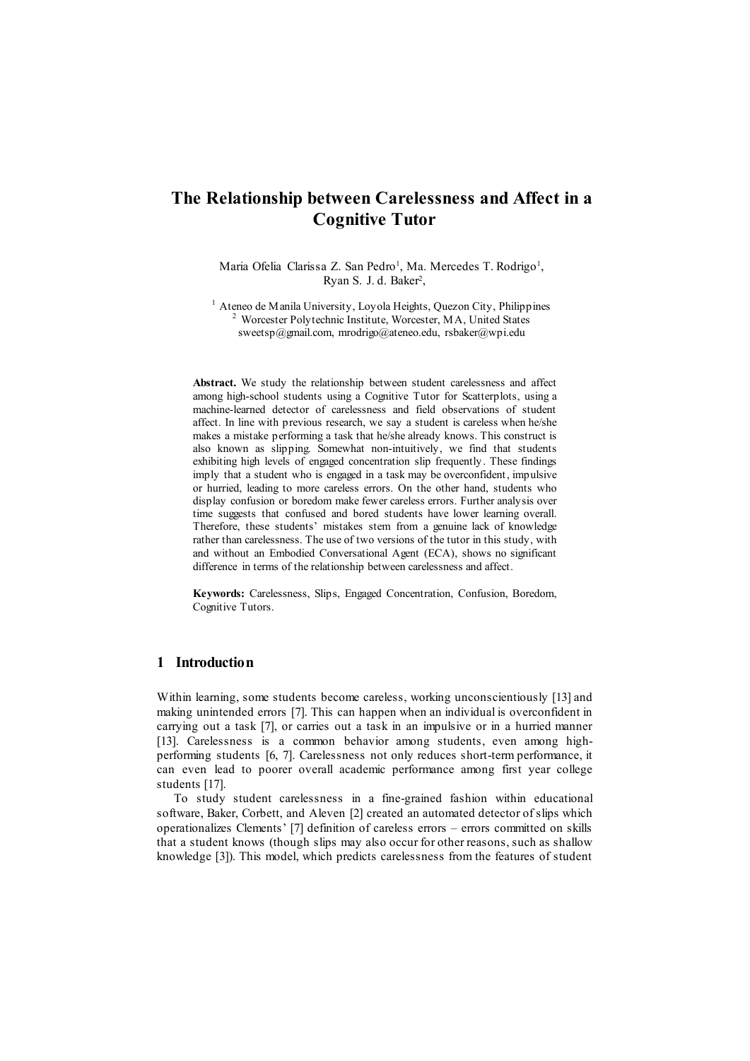# **The Relationship between Carelessness and Affect in a Cognitive Tutor**

Maria Ofelia Clarissa Z. San Pedro<sup>1</sup>, Ma. Mercedes T. Rodrigo<sup>1</sup>, Ryan S. J. d. Baker<sup>2</sup>,

<sup>1</sup> Ateneo de Manila University, Loyola Heights, Quezon City, Philippines <sup>2</sup> Worcester Polytechnic Institute, Worcester, MA, United States sweetsp@gmail.com, mrodrigo@ateneo.edu, rsbaker@wpi.edu

**Abstract.** We study the relationship between student carelessness and affect among high-school students using a Cognitive Tutor for Scatterplots, using a machine-learned detector of carelessness and field observations of student affect. In line with previous research, we say a student is careless when he/she makes a mistake performing a task that he/she already knows. This construct is also known as slipping. Somewhat non-intuitively, we find that students exhibiting high levels of engaged concentration slip frequently. These findings imply that a student who is engaged in a task may be overconfident, impulsive or hurried, leading to more careless errors. On the other hand, students who display confusion or boredom make fewer careless errors. Further analysis over time suggests that confused and bored students have lower learning overall. Therefore, these students' mistakes stem from a genuine lack of knowledge rather than carelessness. The use of two versions of the tutor in this study, with and without an Embodied Conversational Agent (ECA), shows no significant difference in terms of the relationship between carelessness and affect.

**Keywords:** Carelessness, Slips, Engaged Concentration, Confusion, Boredom, Cognitive Tutors.

# **1 Introduction**

Within learning, some students become careless, working unconscientiously [13] and making unintended errors [7]. This can happen when an individual is overconfident in carrying out a task [7], or carries out a task in an impulsive or in a hurried manner [13]. Carelessness is a common behavior among students, even among highperforming students [6, 7]. Carelessness not only reduces short-term performance, it can even lead to poorer overall academic performance among first year college students [17].

To study student carelessness in a fine-grained fashion within educational software, Baker, Corbett, and Aleven [2] created an automated detector of slips which operationalizes Clements' [7] definition of careless errors – errors committed on skills that a student knows (though slips may also occur for other reasons, such as shallow knowledge [3]). This model, which predicts carelessness from the features of student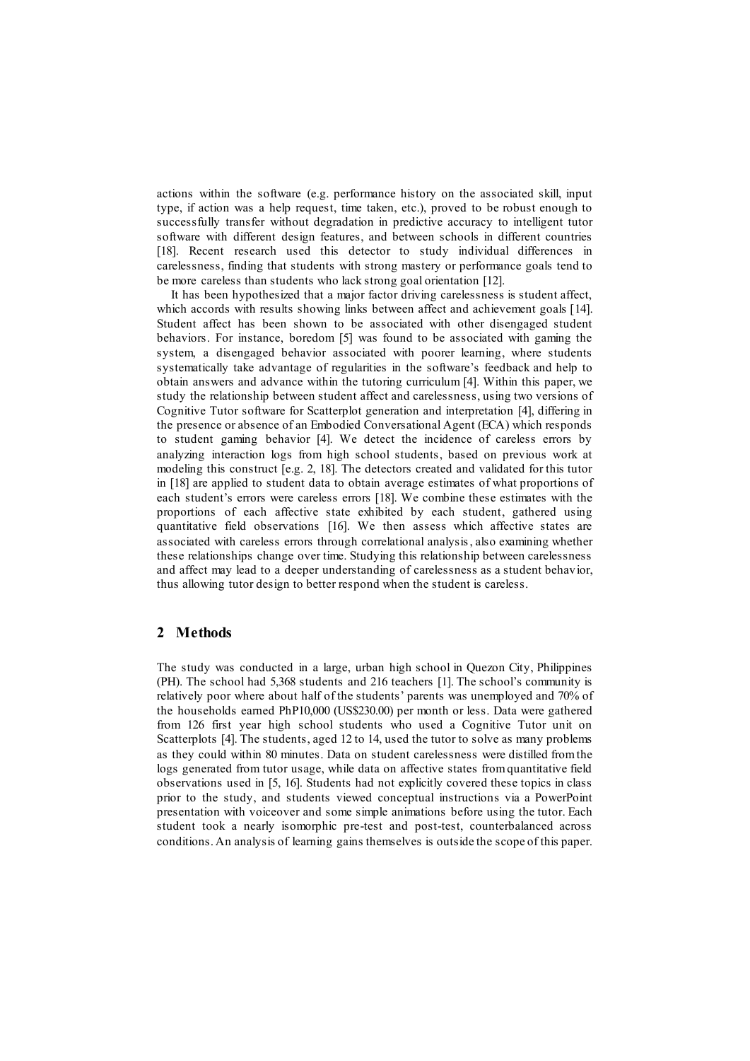actions within the software (e.g. performance history on the associated skill, input type, if action was a help request, time taken, etc.), proved to be robust enough to successfully transfer without degradation in predictive accuracy to intelligent tutor software with different design features, and between schools in different countries [18]. Recent research used this detector to study individual differences in carelessness, finding that students with strong mastery or performance goals tend to be more careless than students who lack strong goal orientation [12].

It has been hypothesized that a major factor driving carelessness is student affect, which accords with results showing links between affect and achievement goals [14]. Student affect has been shown to be associated with other disengaged student behaviors. For instance, boredom [5] was found to be associated with gaming the system, a disengaged behavior associated with poorer learning, where students systematically take advantage of regularities in the software's feedback and help to obtain answers and advance within the tutoring curriculum [4]. Within this paper, we study the relationship between student affect and carelessness, using two versions of Cognitive Tutor software for Scatterplot generation and interpretation [4], differing in the presence or absence of an Embodied Conversational Agent (ECA) which responds to student gaming behavior [4]. We detect the incidence of careless errors by analyzing interaction logs from high school students, based on previous work at modeling this construct [e.g. 2, 18]. The detectors created and validated for this tutor in [18] are applied to student data to obtain average estimates of what proportions of each student's errors were careless errors [18]. We combine these estimates with the proportions of each affective state exhibited by each student, gathered using quantitative field observations [16]. We then assess which affective states are associated with careless errors through correlational analysis, also examining whether these relationships change over time. Studying this relationship between carelessness and affect may lead to a deeper understanding of carelessness as a student behavior, thus allowing tutor design to better respond when the student is careless.

### **2 Methods**

The study was conducted in a large, urban high school in Quezon City, Philippines (PH). The school had 5,368 students and 216 teachers [1]. The school's community is relatively poor where about half of the students' parents was unemployed and 70% of the households earned PhP10,000 (US\$230.00) per month or less. Data were gathered from 126 first year high school students who used a Cognitive Tutor unit on Scatterplots [4]. The students, aged 12 to 14, used the tutor to solve as many problems as they could within 80 minutes. Data on student carelessness were distilled from the logs generated from tutor usage, while data on affective states from quantitative field observations used in [5, 16]. Students had not explicitly covered these topics in class prior to the study, and students viewed conceptual instructions via a PowerPoint presentation with voiceover and some simple animations before using the tutor. Each student took a nearly isomorphic pre-test and post-test, counterbalanced across conditions. An analysis of learning gains themselves is outside the scope of this paper.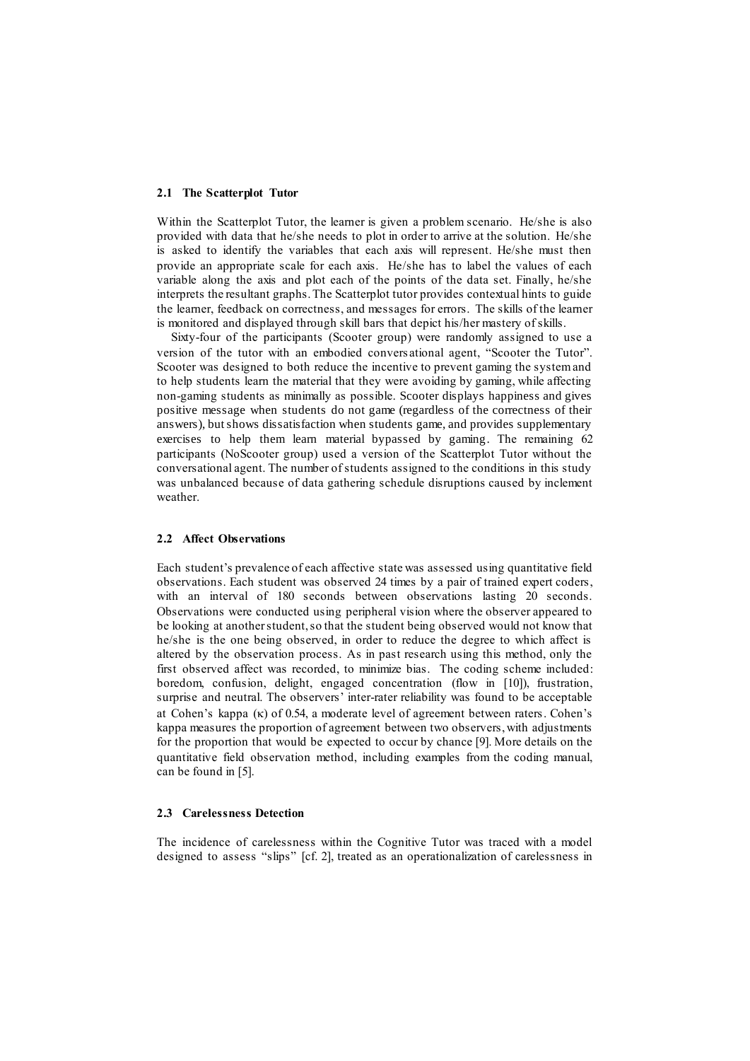#### **2.1 The Scatterplot Tutor**

Within the Scatterplot Tutor, the learner is given a problem scenario. He/she is also provided with data that he/she needs to plot in order to arrive at the solution. He/she is asked to identify the variables that each axis will represent. He/she must then provide an appropriate scale for each axis. He/she has to label the values of each variable along the axis and plot each of the points of the data set. Finally, he/she interprets the resultant graphs. The Scatterplot tutor provides contextual hints to guide the learner, feedback on correctness, and messages for errors. The skills of the learner is monitored and displayed through skill bars that depict his/her mastery of skills.

Sixty-four of the participants (Scooter group) were randomly assigned to use a version of the tutor with an embodied convers ational agent, "Scooter the Tutor". Scooter was designed to both reduce the incentive to prevent gaming the system and to help students learn the material that they were avoiding by gaming, while affecting non-gaming students as minimally as possible. Scooter displays happiness and gives positive message when students do not game (regardless of the correctness of their answers), but shows dissatisfaction when students game, and provides supplementary exercises to help them learn material bypassed by gaming. The remaining 62 participants (NoScooter group) used a version of the Scatterplot Tutor without the conversational agent. The number of students assigned to the conditions in this study was unbalanced because of data gathering schedule disruptions caused by inclement weather.

#### **2.2 Affect Observations**

Each student's prevalence of each affective state was assessed using quantitative field observations. Each student was observed 24 times by a pair of trained expert coders, with an interval of 180 seconds between observations lasting 20 seconds. Observations were conducted using peripheral vision where the observer appeared to be looking at another student, so that the student being observed would not know that he/she is the one being observed, in order to reduce the degree to which affect is altered by the observation process. As in past research using this method, only the first observed affect was recorded, to minimize bias. The coding scheme included: boredom, confusion, delight, engaged concentration (flow in [10]), frustration, surprise and neutral. The observers' inter-rater reliability was found to be acceptable at Cohen's kappa  $(\kappa)$  of 0.54, a moderate level of agreement between raters. Cohen's kappa measures the proportion of agreement between two observers, with adjustments for the proportion that would be expected to occur by chance [9]. More details on the quantitative field observation method, including examples from the coding manual, can be found in [5].

#### **2.3 Carelessness Detection**

The incidence of carelessness within the Cognitive Tutor was traced with a model designed to assess "slips" [cf. 2], treated as an operationalization of carelessness in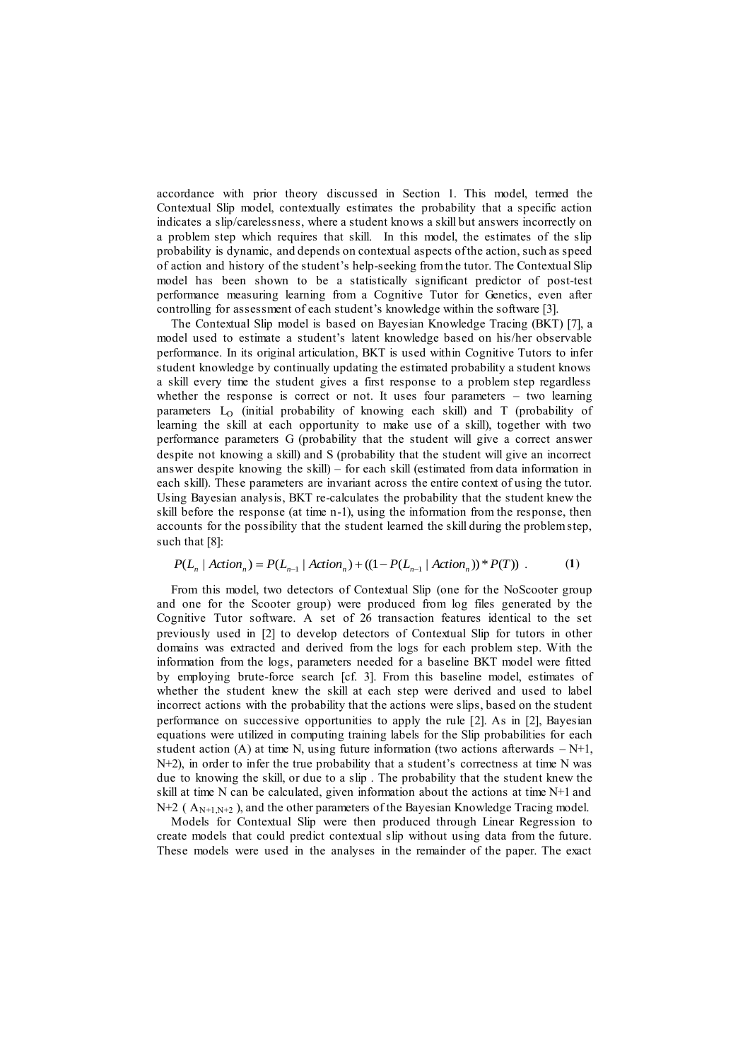accordance with prior theory discussed in Section 1. This model, termed the Contextual Slip model, contextually estimates the probability that a specific action indicates a slip/carelessness, where a student knows a skill but answers incorrectly on a problem step which requires that skill. In this model, the estimates of the slip probability is dynamic, and depends on contextual aspects of the action, such as speed of action and history of the student's help-seeking from the tutor. The Contextual Slip model has been shown to be a statistically significant predictor of post-test performance measuring learning from a Cognitive Tutor for Genetics, even after controlling for assessment of each student's knowledge within the software [3].

The Contextual Slip model is based on Bayesian Knowledge Tracing (BKT) [7], a model used to estimate a student's latent knowledge based on his/her observable performance. In its original articulation, BKT is used within Cognitive Tutors to infer student knowledge by continually updating the estimated probability a student knows a skill every time the student gives a first response to a problem step regardless whether the response is correct or not. It uses four parameters  $-$  two learning parameters L<sup>O</sup> (initial probability of knowing each skill) and T (probability of learning the skill at each opportunity to make use of a skill), together with two performance parameters G (probability that the student will give a correct answer despite not knowing a skill) and S (probability that the student will give an incorrect answer despite knowing the skill) – for each skill (estimated from data information in each skill). These parameters are invariant across the entire context of using the tutor. Using Bayesian analysis, BKT re-calculates the probability that the student knew the skill before the response (at time n-1), using the information from the response, then accounts for the possibility that the student learned the skill during the problem step, such that [8]:

$$
P(L_n | Action_n) = P(L_{n-1} | Action_n) + ((1 - P(L_{n-1} | Action_n)) * P(T)).
$$
 (1)

From this model, two detectors of Contextual Slip (one for the NoScooter group and one for the Scooter group) were produced from log files generated by the Cognitive Tutor software. A set of 26 transaction features identical to the set previously used in [2] to develop detectors of Contextual Slip for tutors in other domains was extracted and derived from the logs for each problem step. With the information from the logs, parameters needed for a baseline BKT model were fitted by employing brute-force search [cf. 3]. From this baseline model, estimates of whether the student knew the skill at each step were derived and used to label incorrect actions with the probability that the actions were slips, based on the student performance on successive opportunities to apply the rule [2]. As in [2], Bayesian equations were utilized in computing training labels for the Slip probabilities for each student action (A) at time N, using future information (two actions afterwards  $-N+1$ , N+2), in order to infer the true probability that a student's correctness at time N was due to knowing the skill, or due to a slip . The probability that the student knew the skill at time N can be calculated, given information about the actions at time N+1 and  $N+2$  ( $A_{N+1,N+2}$ ), and the other parameters of the Bayesian Knowledge Tracing model.

Models for Contextual Slip were then produced through Linear Regression to create models that could predict contextual slip without using data from the future. These models were used in the analyses in the remainder of the paper. The exact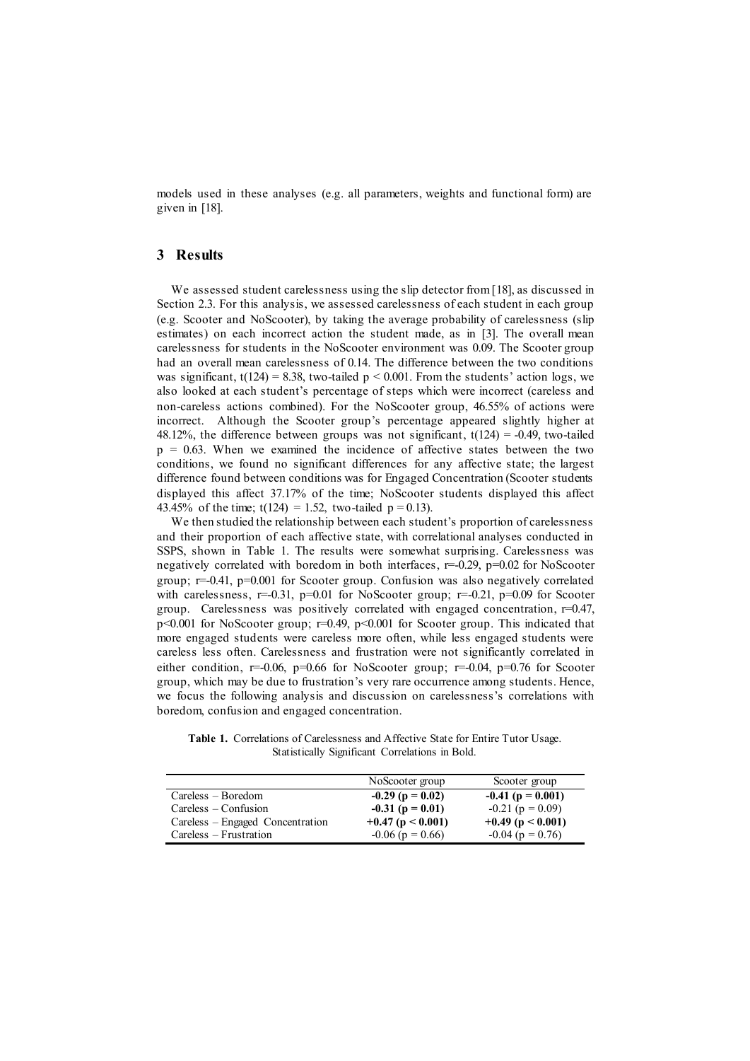models used in these analyses (e.g. all parameters, weights and functional form) are given in [18].

# **3 Results**

We assessed student carelessness using the slip detector from [18], as discussed in Section 2.3. For this analysis, we assessed carelessness of each student in each group (e.g. Scooter and NoScooter), by taking the average probability of carelessness (slip estimates) on each incorrect action the student made, as in [3]. The overall mean carelessness for students in the NoScooter environment was 0.09. The Scooter group had an overall mean carelessness of 0.14. The difference between the two conditions was significant,  $t(124) = 8.38$ , two-tailed  $p < 0.001$ . From the students' action logs, we also looked at each student's percentage of steps which were incorrect (careless and non-careless actions combined). For the NoScooter group, 46.55% of actions were incorrect. Although the Scooter group's percentage appeared slightly higher at 48.12%, the difference between groups was not significant,  $t(124) = -0.49$ , two-tailed  $p = 0.63$ . When we examined the incidence of affective states between the two conditions, we found no significant differences for any affective state; the largest difference found between conditions was for Engaged Concentration (Scooter students displayed this affect 37.17% of the time; NoScooter students displayed this affect 43.45% of the time;  $t(124) = 1.52$ , two-tailed  $p = 0.13$ ).

We then studied the relationship between each student's proportion of carelessness and their proportion of each affective state, with correlational analyses conducted in SSPS, shown in Table 1. The results were somewhat surprising. Carelessness was negatively correlated with boredom in both interfaces,  $r=0.29$ ,  $p=0.02$  for NoScooter group;  $r=0.41$ ,  $p=0.001$  for Scooter group. Confusion was also negatively correlated with carelessness,  $r=0.31$ ,  $p=0.01$  for NoScooter group;  $r=-0.21$ ,  $p=0.09$  for Scooter group. Carelessness was positively correlated with engaged concentration, r=0.47, p<0.001 for NoScooter group; r=0.49, p<0.001 for Scooter group. This indicated that more engaged students were careless more often, while less engaged students were careless less often. Carelessness and frustration were not significantly correlated in either condition,  $r=0.06$ ,  $p=0.66$  for NoScooter group;  $r=0.04$ ,  $p=0.76$  for Scooter group, which may be due to frustration's very rare occurrence among students. Hence, we focus the following analysis and discussion on carelessness's correlations with boredom, confusion and engaged concentration.

NoScooter group Scooter group Careless – Boredom **-0.29 (p = 0.02) -0.41 (p = 0.001)**<br>Careless – Confusion **-0.31 (p = 0.01)**  $-0.21$  **(p = 0.09)** Careless – Confusion **-0.31 (p = 0.01)**<br>Careless – Engaged Concentration  $+0.47$  (p < 0.001) Careless – Engaged Concentration  $+0.47$  ( $p < 0.001$ )  $+0.49$  ( $p < 0.001$ ) Careless – Frustration -0.06 (p = 0.66) -0.04 (p = 0.76)

**Table 1.** Correlations of Carelessness and Affective State for Entire Tutor Usage. Statistically Significant Correlations in Bold.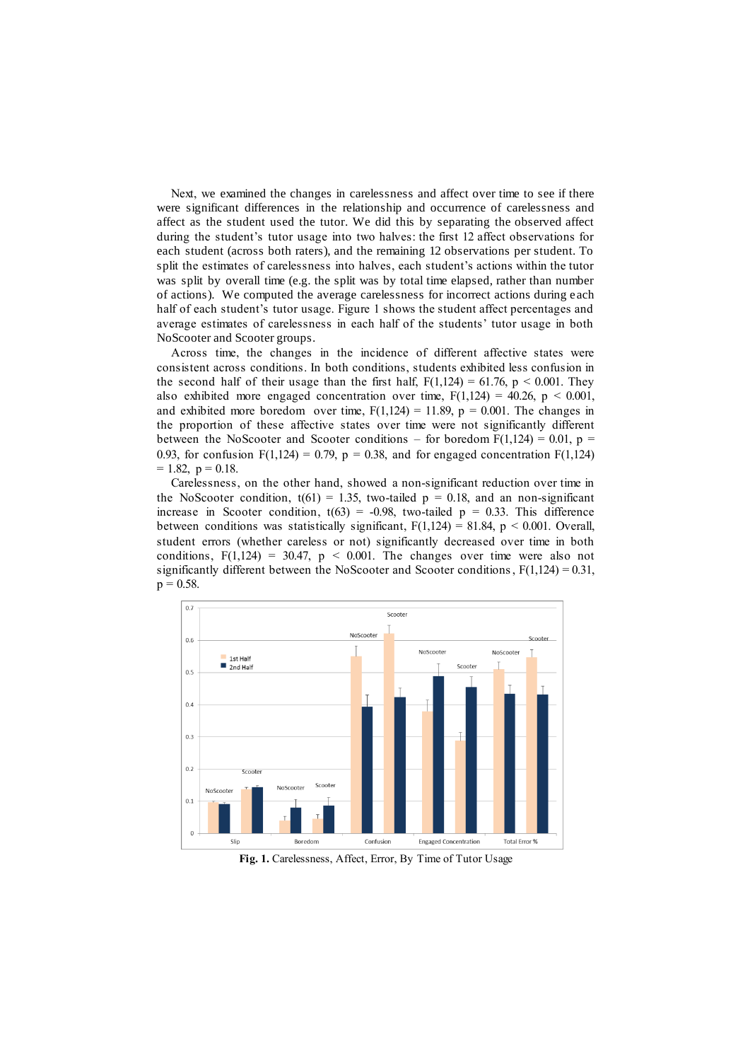Next, we examined the changes in carelessness and affect over time to see if there were significant differences in the relationship and occurrence of carelessness and affect as the student used the tutor. We did this by separating the observed affect during the student's tutor usage into two halves: the first 12 affect observations for each student (across both raters), and the remaining 12 observations per student. To split the estimates of carelessness into halves, each student's actions within the tutor was split by overall time (e.g. the split was by total time elapsed, rather than number of actions). We computed the average carelessness for incorrect actions during e ach half of each student's tutor usage. Figure 1 shows the student affect percentages and average estimates of carelessness in each half of the students' tutor usage in both NoScooter and Scooter groups.

Across time, the changes in the incidence of different affective states were consistent across conditions. In both conditions, students exhibited less confusion in the second half of their usage than the first half,  $F(1,124) = 61.76$ ,  $p < 0.001$ . They also exhibited more engaged concentration over time,  $F(1,124) = 40.26$ , p < 0.001, and exhibited more boredom over time,  $F(1,124) = 11.89$ ,  $p = 0.001$ . The changes in the proportion of these affective states over time were not significantly different between the NoScooter and Scooter conditions – for boredom  $F(1,124) = 0.01$ , p = 0.93, for confusion  $F(1,124) = 0.79$ ,  $p = 0.38$ , and for engaged concentration  $F(1,124)$  $= 1.82$ ,  $p = 0.18$ .

Carelessness, on the other hand, showed a non-significant reduction over time in the NoScooter condition,  $t(61) = 1.35$ , two-tailed  $p = 0.18$ , and an non-significant increase in Scooter condition,  $t(63) = -0.98$ , two-tailed  $p = 0.33$ . This difference between conditions was statistically significant,  $F(1,124) = 81.84$ ,  $p < 0.001$ . Overall, student errors (whether careless or not) significantly decreased over time in both conditions,  $F(1,124) = 30.47$ ,  $p < 0.001$ . The changes over time were also not significantly different between the NoScooter and Scooter conditions,  $F(1,124) = 0.31$ ,  $p = 0.58$ .



**Fig. 1.** Carelessness, Affect, Error, By Time of Tutor Usage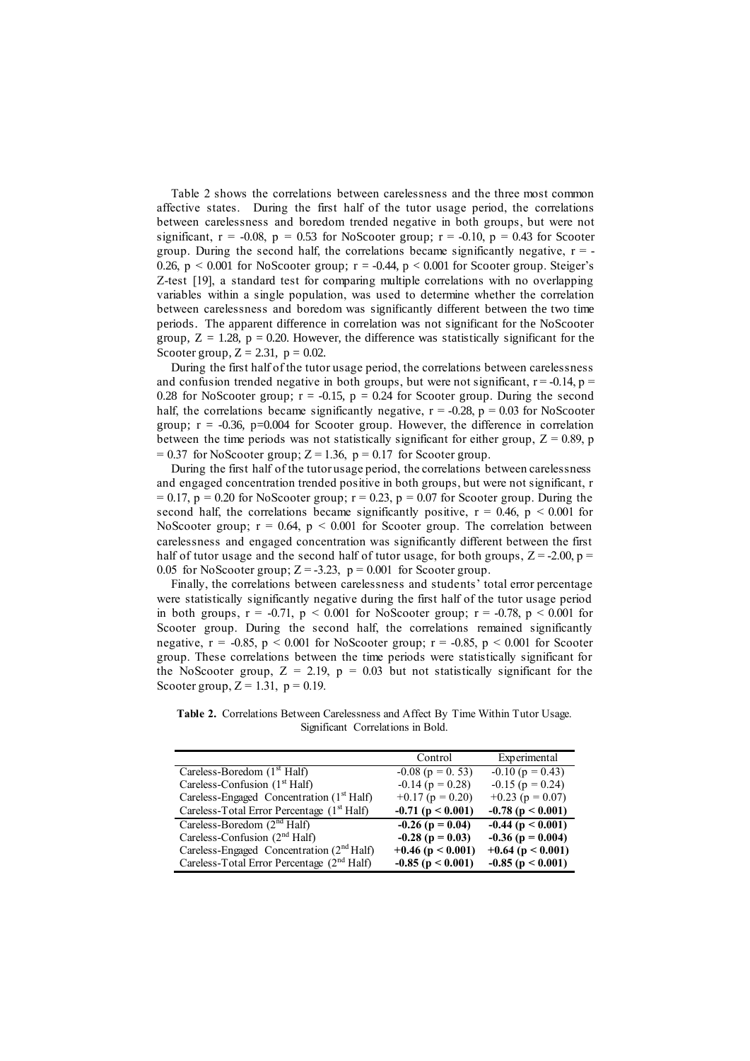Table 2 shows the correlations between carelessness and the three most common affective states. During the first half of the tutor usage period, the correlations between carelessness and boredom trended negative in both groups, but were not significant,  $r = -0.08$ ,  $p = 0.53$  for NoScooter group;  $r = -0.10$ ,  $p = 0.43$  for Scooter group. During the second half, the correlations became significantly negative,  $r = -$ 0.26,  $p < 0.001$  for NoScooter group;  $r = -0.44$ ,  $p < 0.001$  for Scooter group. Steiger's Z-test [19], a standard test for comparing multiple correlations with no overlapping variables within a single population, was used to determine whether the correlation between carelessness and boredom was significantly different between the two time periods. The apparent difference in correlation was not significant for the NoScooter group,  $Z = 1.28$ ,  $p = 0.20$ . However, the difference was statistically significant for the Scooter group,  $Z = 2.31$ ,  $p = 0.02$ .

During the first half of the tutor usage period, the correlations between carelessness and confusion trended negative in both groups, but were not significant,  $r = -0.14$ ,  $p =$ 0.28 for NoScooter group;  $r = -0.15$ ,  $p = 0.24$  for Scooter group. During the second half, the correlations became significantly negative,  $r = -0.28$ ,  $p = 0.03$  for NoScooter group;  $r = -0.36$ ,  $p=0.004$  for Scooter group. However, the difference in correlation between the time periods was not statistically significant for either group,  $Z = 0.89$ , p  $= 0.37$  for NoScooter group; Z = 1.36, p = 0.17 for Scooter group.

During the first half of the tutor usage period, the correlations between carelessness and engaged concentration trended positive in both groups, but were not significant, r  $= 0.17$ , p = 0.20 for NoScooter group; r = 0.23, p = 0.07 for Scooter group. During the second half, the correlations became significantly positive,  $r = 0.46$ ,  $p < 0.001$  for NoScooter group;  $r = 0.64$ ,  $p < 0.001$  for Scooter group. The correlation between carelessness and engaged concentration was significantly different between the first half of tutor usage and the second half of tutor usage, for both groups,  $Z = -2.00$ ,  $p =$ 0.05 for NoScooter group;  $Z = -3.23$ ,  $p = 0.001$  for Scooter group.

Finally, the correlations between carelessness and students' total error percentage were statistically significantly negative during the first half of the tutor usage period in both groups,  $r = -0.71$ ,  $p < 0.001$  for NoScooter group;  $r = -0.78$ ,  $p < 0.001$  for Scooter group. During the second half, the correlations remained significantly negative,  $r = -0.85$ ,  $p < 0.001$  for NoScooter group;  $r = -0.85$ ,  $p < 0.001$  for Scooter group. These correlations between the time periods were statistically significant for the NoScooter group,  $Z = 2.19$ ,  $p = 0.03$  but not statistically significant for the Scooter group,  $Z = 1.31$ ,  $p = 0.19$ .

**Table 2.** Correlations Between Carelessness and Affect By Time Within Tutor Usage. Significant Correlations in Bold.

|                                                       | Control                   | Experimental           |
|-------------------------------------------------------|---------------------------|------------------------|
| Careless-Boredom $(1st Half)$                         | $-0.08$ (p = 0.53)        | $-0.10$ (p = 0.43)     |
| Careless-Confusion $(1st Half)$                       | $-0.14$ (p = 0.28)        | $-0.15$ (p = 0.24)     |
| Careless-Engaged Concentration (1 <sup>st</sup> Half) | $+0.17$ (p = 0.20)        | $+0.23$ (p = 0.07)     |
| Careless-Total Error Percentage $(1st Half)$          | $-0.71$ (p < 0.001)       | $-0.78$ (p $< 0.001$ ) |
| Careless-Boredom $(2nd Half)$                         | $-0.26$ (p = 0.04)        | $-0.44$ (p < 0.001)    |
| Careless-Confusion $(2nd Half)$                       | $-0.28$ (p = 0.03)        | $-0.36$ (p = 0.004)    |
| Careless-Engaged Concentration $(2nd Half)$           | $+0.46$ (p < 0.001)       | $+0.64$ (p < 0.001)    |
| Careless-Total Error Percentage $(2nd Half)$          | $-0.85$ (p $\leq 0.001$ ) | $-0.85$ (p $< 0.001$ ) |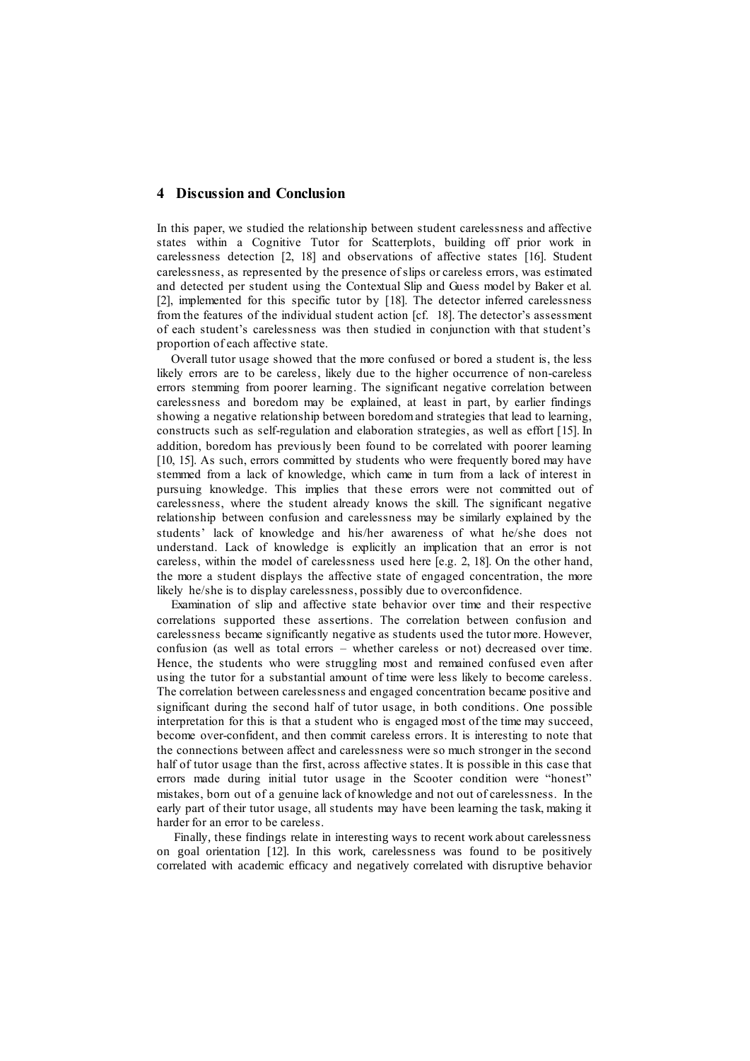# **4 Discussion and Conclusion**

In this paper, we studied the relationship between student carelessness and affective states within a Cognitive Tutor for Scatterplots, building off prior work in carelessness detection [2, 18] and observations of affective states [16]. Student carelessness, as represented by the presence of slips or careless errors, was estimated and detected per student using the Contextual Slip and Guess model by Baker et al. [2], implemented for this specific tutor by [18]. The detector inferred carelessness from the features of the individual student action [cf. 18]. The detector's assessment of each student's carelessness was then studied in conjunction with that student's proportion of each affective state.

Overall tutor usage showed that the more confused or bored a student is, the less likely errors are to be careless, likely due to the higher occurrence of non-careless errors stemming from poorer learning. The significant negative correlation between carelessness and boredom may be explained, at least in part, by earlier findings showing a negative relationship between boredom and strategies that lead to learning, constructs such as self-regulation and elaboration strategies, as well as effort [15]. In addition, boredom has previously been found to be correlated with poorer learning [10, 15]. As such, errors committed by students who were frequently bored may have stemmed from a lack of knowledge, which came in turn from a lack of interest in pursuing knowledge. This implies that these errors were not committed out of carelessness, where the student already knows the skill. The significant negative relationship between confusion and carelessness may be similarly explained by the students' lack of knowledge and his/her awareness of what he/she does not understand. Lack of knowledge is explicitly an implication that an error is not careless, within the model of carelessness used here [e.g. 2, 18]. On the other hand, the more a student displays the affective state of engaged concentration, the more likely he/she is to display carelessness, possibly due to overconfidence.

Examination of slip and affective state behavior over time and their respective correlations supported these assertions. The correlation between confusion and carelessness became significantly negative as students used the tutor more. However, confusion (as well as total errors – whether careless or not) decreased over time. Hence, the students who were struggling most and remained confused even after using the tutor for a substantial amount of time were less likely to become careless. The correlation between carelessness and engaged concentration became positive and significant during the second half of tutor usage, in both conditions. One possible interpretation for this is that a student who is engaged most of the time may succeed, become over-confident, and then commit careless errors. It is interesting to note that the connections between affect and carelessness were so much stronger in the second half of tutor usage than the first, across affective states. It is possible in this case that errors made during initial tutor usage in the Scooter condition were "honest" mistakes, born out of a genuine lack of knowledge and not out of carelessness. In the early part of their tutor usage, all students may have been learning the task, making it harder for an error to be careless.

Finally, these findings relate in interesting ways to recent work about carelessness on goal orientation [12]. In this work, carelessness was found to be positively correlated with academic efficacy and negatively correlated with disruptive behavior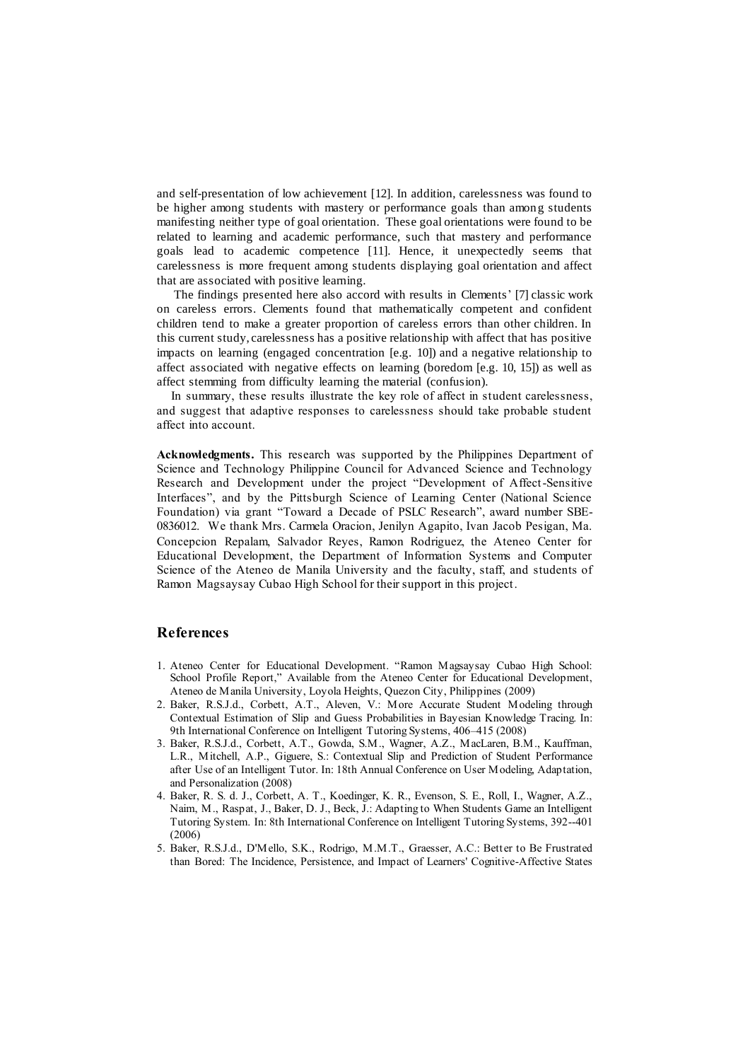and self-presentation of low achievement [12]. In addition, carelessness was found to be higher among students with mastery or performance goals than among students manifesting neither type of goal orientation. These goal orientations were found to be related to learning and academic performance, such that mastery and performance goals lead to academic competence [11]. Hence, it unexpectedly seems that carelessness is more frequent among students displaying goal orientation and affect that are associated with positive learning.

The findings presented here also accord with results in Clements' [7] classic work on careless errors. Clements found that mathematically competent and confident children tend to make a greater proportion of careless errors than other children. In this current study, carelessness has a positive relationship with affect that has positive impacts on learning (engaged concentration [e.g. 10]) and a negative relationship to affect associated with negative effects on learning (boredom [e.g. 10, 15]) as well as affect stemming from difficulty learning the material (confusion).

In summary, these results illustrate the key role of affect in student carelessness, and suggest that adaptive responses to carelessness should take probable student affect into account.

**Acknowledgments.** This research was supported by the Philippines Department of Science and Technology Philippine Council for Advanced Science and Technology Research and Development under the project "Development of Affect-Sensitive Interfaces", and by the Pittsburgh Science of Learning Center (National Science Foundation) via grant "Toward a Decade of PSLC Research", award number SBE-0836012. We thank Mrs. Carmela Oracion, Jenilyn Agapito, Ivan Jacob Pesigan, Ma. Concepcion Repalam, Salvador Reyes, Ramon Rodriguez, the Ateneo Center for Educational Development, the Department of Information Systems and Computer Science of the Ateneo de Manila University and the faculty, staff, and students of Ramon Magsaysay Cubao High School for their support in this project.

### **References**

- 1. Ateneo Center for Educational Development. "Ramon Magsaysay Cubao High School: School Profile Report," Available from the Ateneo Center for Educational Development, Ateneo de Manila University, Loyola Heights, Quezon City, Philippines (2009)
- 2. Baker, R.S.J.d., Corbett, A.T., Aleven, V.: More Accurate Student Modeling through Contextual Estimation of Slip and Guess Probabilities in Bayesian Knowledge Tracing. In: 9th International Conference on Intelligent Tutoring Systems, 406–415 (2008)
- 3. Baker, R.S.J.d., Corbett, A.T., Gowda, S.M., Wagner, A.Z., MacLaren, B.M., Kauffman, L.R., Mitchell, A.P., Giguere, S.: Contextual Slip and Prediction of Student Performance after Use of an Intelligent Tutor. In: 18th Annual Conference on User Modeling, Adaptation, and Personalization (2008)
- 4. Baker, R. S. d. J., Corbett, A. T., Koedinger, K. R., Evenson, S. E., Roll, I., Wagner, A.Z., Naim, M., Raspat, J., Baker, D. J., Beck, J.: Adapting to When Students Game an Intelligent Tutoring System. In: 8th International Conference on Intelligent Tutoring Systems, 392--401 (2006)
- 5. Baker, R.S.J.d., D'Mello, S.K., Rodrigo, M.M.T., Graesser, A.C.: Better to Be Frustrated than Bored: The Incidence, Persistence, and Impact of Learners' Cognitive-Affective States